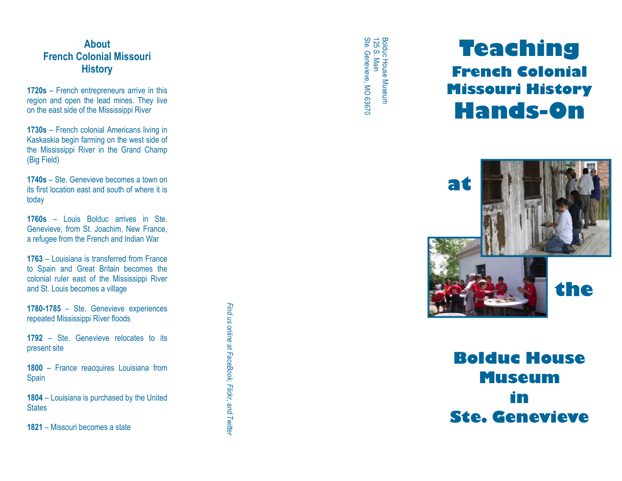## **About French Colonial Missouri History**

**1720s** – French entrepreneurs arrive in this region and open the lead mines. They live on the east side of the Mississippi River

**1730s** – French colonial Americans living in Kaskaskia begin farming on the west side of the Mississippi River in the Grand Champ (Big Field)

**1740s** – Ste. Genevieve becomes a town on its first location east and south of where it is today

**1760s** – Louis Bolduc arrives in Ste. Genevieve, from St. Joachim, New France, a refugee from the French and Indian War

**1763** – Louisiana is transferred from France to Spain and Great Britain becomes the colonial ruler east of the Mississippi River and St. Louis becomes a village

**1780 -1785** – Ste. Genevieve experiences repeated Mississippi River floods

**1792** – Ste. Genevieve relocates to its present site

**1800** – France reacquires Louisiana from Spain

**1804** – Louisiana is purchased by the United **States** 

**1821** – Missouri becomes a state

Bolduc House Museum 125 S Main Ste. Genevieve,  $\mathbb S$ 63670

# **Teaching French Colonial Missouri History Hands -On**



**Bolduc House Museum in Ste. Genevieve**

*us online at FaceBook, Flickr, and Twitter*

*Find*